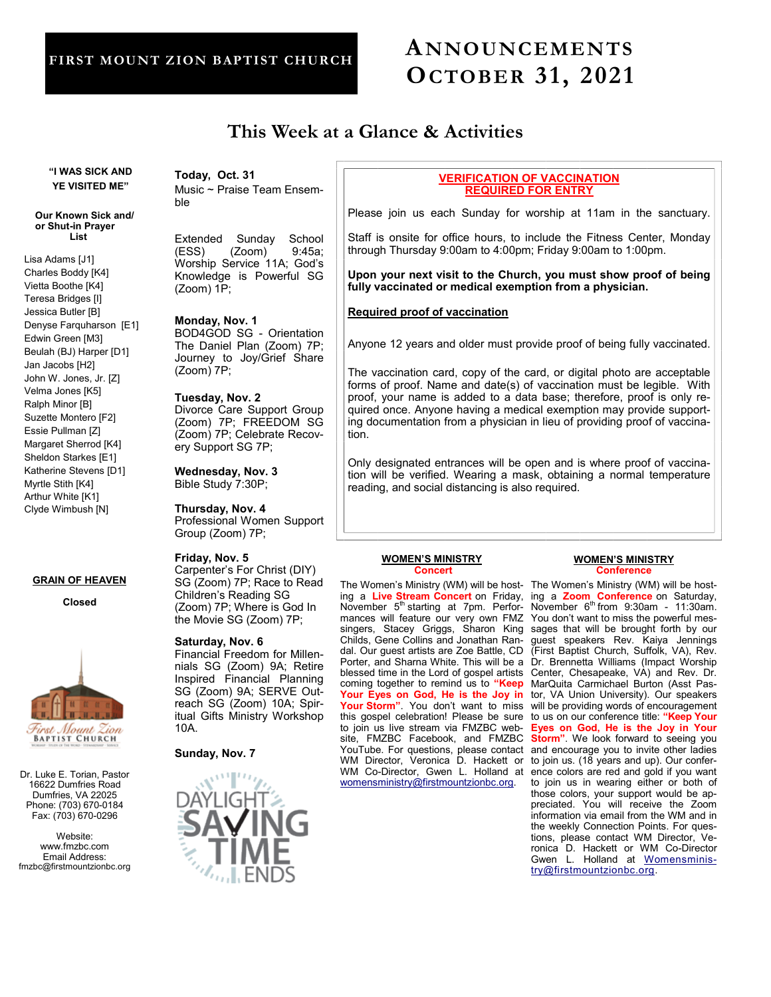# **FIRST MOUNT ZION BAPTIST CHURCH**

ble

# **ANNOUNCEMENTS OCTOBER 31, 2021**

# **This Week at a Glance & Activities**

**"I WAS SICK AND YE VISITED ME"** 

#### **Our Known Sick and/ or Shut-in Prayer List**

Lisa Adams [J1] Charles Boddy [K4] Vietta Boothe [K4] Teresa Bridges [I] Jessica Butler [B] Denyse Farquharson [E1] Edwin Green [M3] Beulah (BJ) Harper [D1] Jan Jacobs [H2] John W. Jones, Jr. [Z] Velma Jones [K5] Ralph Minor [B] Suzette Montero [F2] Essie Pullman [Z] Margaret Sherrod [K4] Sheldon Starkes [E1] Katherine Stevens [D1] Myrtle Stith [K4] Arthur White [K1] Clyde Wimbush [N]

# **GRAIN OF HEAVEN**

**Closed**



Dr. Luke E. Torian, Pastor 16622 Dumfries Road Dumfries, VA 22025 Phone: (703) 670-0184 Fax: (703) 670-0296

Website: www.fmzbc.com Email Address: fmzbc@firstmountzionbc.org **Today, Oct. 31** Music ~ Praise Team Ensem-

Extended Sunday School (ESS) (Zoom) 9:45a; Worship Service 11A; God's Knowledge is Powerful SG (Zoom) 1P;

# **Monday, Nov. 1**

BOD4GOD SG - Orientation The Daniel Plan (Zoom) 7P; Journey to Joy/Grief Share (Zoom) 7P;

# **Tuesday, Nov. 2**

Divorce Care Support Group (Zoom) 7P; FREEDOM SG (Zoom) 7P; Celebrate Recovery Support SG 7P;

**Wednesday, Nov. 3** Bible Study 7:30P;

**Thursday, Nov. 4** Professional Women Support Group (Zoom) 7P;

### **Friday, Nov. 5**

Carpenter's For Christ (DIY) SG (Zoom) 7P; Race to Read Children's Reading SG (Zoom) 7P; Where is God In the Movie SG (Zoom) 7P;

# **Saturday, Nov. 6**

Financial Freedom for Millennials SG (Zoom) 9A; Retire Inspired Financial Planning SG (Zoom) 9A; SERVE Outreach SG (Zoom) 10A; Spiritual Gifts Ministry Workshop 10A.

# **Sunday, Nov. 7**



# **VERIFICATION OF VACCINATION REQUIRED FOR ENTRY**

Please join us each Sunday for worship at 11am in the sanctuary.

Staff is onsite for office hours, to include the Fitness Center, Monday through Thursday 9:00am to 4:00pm; Friday 9:00am to 1:00pm.

**Upon your next visit to the Church, you must show proof of being fully vaccinated or medical exemption from a physician.**

# **Required proof of vaccination**

Anyone 12 years and older must provide proof of being fully vaccinated.

The vaccination card, copy of the card, or digital photo are acceptable forms of proof. Name and date(s) of vaccination must be legible. With proof, your name is added to a data base; therefore, proof is only required once. Anyone having a medical exemption may provide supporting documentation from a physician in lieu of providing proof of vaccination.

Only designated entrances will be open and is where proof of vaccination will be verified. Wearing a mask, obtaining a normal temperature reading, and social distancing is also required.

#### **WOMEN'S MINISTRY Concert**

The Women's Ministry (WM) will be host-The Women's Ministry (WM) will be hosting a **Live Stream Concert** on Friday, November 5<sup>th</sup> starting at 7pm. Performances will feature our very own FMZ singers, Stacey Griggs, Sharon King Childs, Gene Collins and Jonathan Randal. Our guest artists are Zoe Battle, CD Porter, and Sharna White. This will be a blessed time in the Lord of gospel artists coming together to remind us to **"Keep Your Eyes on God, He is the Joy in Your Storm"**. You don't want to miss this gospel celebration! Please be sure to join us live stream via FMZBC website, FMZBC Facebook, and FMZBC YouTube. For questions, please contact WM Director, Veronica D. Hackett or WM Co-Director, Gwen L. Holland at [womensministry@firstmountzionbc.org.](mailto:womensministry@firstmountzionbc.org)

#### **WOMEN'S MINISTRY Conference**

ing a **Zoom Conference** on Saturday, November  $6<sup>th</sup>$  from 9:30am - 11:30am. You don't want to miss the powerful messages that will be brought forth by our guest speakers Rev. Kaiya Jennings (First Baptist Church, Suffolk, VA), Rev. Dr. Brennetta Williams (Impact Worship Center, Chesapeake, VA) and Rev. Dr. MarQuita Carmichael Burton (Asst Pastor, VA Union University). Our speakers will be providing words of encouragement to us on our conference title: **"Keep Your Eyes on God, He is the Joy in Your Storm"**. We look forward to seeing you and encourage you to invite other ladies to join us. (18 years and up). Our conference colors are red and gold if you want to join us in wearing either or both of those colors, your support would be appreciated. You will receive the Zoom information via email from the WM and in the weekly Connection Points. For questions, please contact WM Director, Veronica D. Hackett or WM Co-Director Gwen L. Holland at **[Womensminis](mailto:Womensministry@firstmountzionbc.org)**[try@firstmountzionbc.org.](mailto:Womensministry@firstmountzionbc.org)